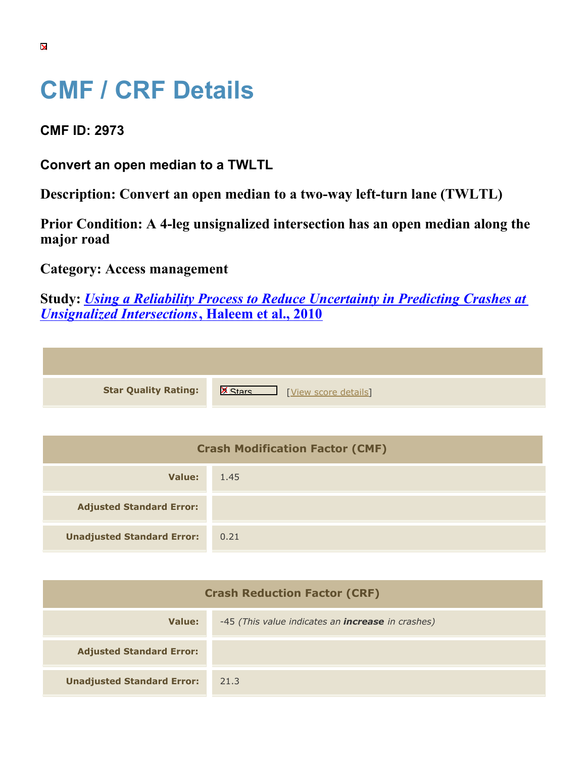## **CMF / CRF Details**

**CMF ID: 2973**

**Convert an open median to a TWLTL**

**Description: Convert an open median to a two-way left-turn lane (TWLTL)**

**Prior Condition: A 4-leg unsignalized intersection has an open median along the major road**

**Category: Access management**

**Study:** *[Using a Reliability Process to Reduce Uncertainty in Predicting Crashes at](https://cmfclearinghouse.org/study_detail.cfm?stid=203) [Unsignalized Intersections](https://cmfclearinghouse.org/study_detail.cfm?stid=203)***[, Haleem et al., 2010](https://cmfclearinghouse.org/study_detail.cfm?stid=203)**

**Star Quality Rating:** X Materials Number 2016 [[View score details](https://cmfclearinghouse.org/score_details.cfm?facid=2973)]

| <b>Crash Modification Factor (CMF)</b> |      |  |
|----------------------------------------|------|--|
| Value:                                 | 1.45 |  |
| <b>Adjusted Standard Error:</b>        |      |  |
| <b>Unadjusted Standard Error:</b>      | 0.21 |  |

| <b>Crash Reduction Factor (CRF)</b> |                                                          |  |
|-------------------------------------|----------------------------------------------------------|--|
| Value:                              | -45 (This value indicates an <i>increase</i> in crashes) |  |
| <b>Adjusted Standard Error:</b>     |                                                          |  |
| <b>Unadjusted Standard Error:</b>   | 21.3                                                     |  |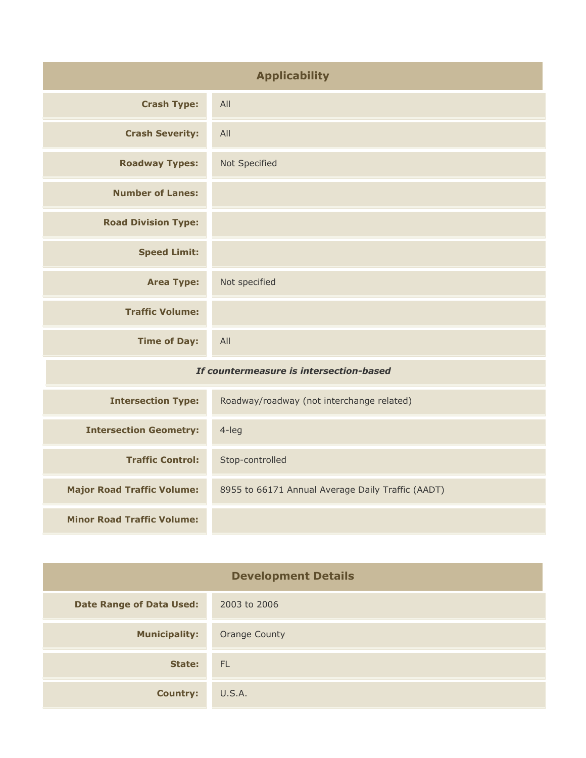| <b>Applicability</b>                    |                                                   |
|-----------------------------------------|---------------------------------------------------|
| <b>Crash Type:</b>                      | All                                               |
| <b>Crash Severity:</b>                  | All                                               |
| <b>Roadway Types:</b>                   | Not Specified                                     |
| <b>Number of Lanes:</b>                 |                                                   |
| <b>Road Division Type:</b>              |                                                   |
| <b>Speed Limit:</b>                     |                                                   |
| <b>Area Type:</b>                       | Not specified                                     |
| <b>Traffic Volume:</b>                  |                                                   |
| <b>Time of Day:</b>                     | All                                               |
| If countermeasure is intersection-based |                                                   |
| <b>Intersection Type:</b>               | Roadway/roadway (not interchange related)         |
| <b>Intersection Geometry:</b>           | 4-leg                                             |
| <b>Traffic Control:</b>                 | Stop-controlled                                   |
| <b>Major Road Traffic Volume:</b>       | 8955 to 66171 Annual Average Daily Traffic (AADT) |
| <b>Minor Road Traffic Volume:</b>       |                                                   |

| <b>Development Details</b>      |                      |  |
|---------------------------------|----------------------|--|
| <b>Date Range of Data Used:</b> | 2003 to 2006         |  |
| <b>Municipality:</b>            | <b>Orange County</b> |  |
| State:                          | FL                   |  |
| <b>Country:</b>                 | U.S.A.               |  |